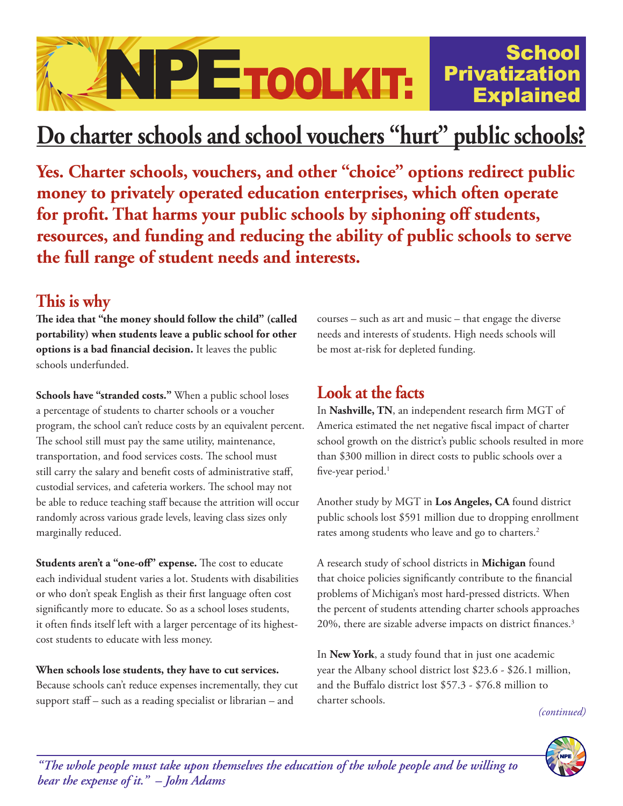

# **Do charter schools and school vouchers "hurt" public schools?**

**Yes. Charter schools, vouchers, and other "choice" options redirect public money to privately operated education enterprises, which often operate for profit. That harms your public schools by siphoning off students, resources, and funding and reducing the ability of public schools to serve the full range of student needs and interests.**

## **This is why**

**The idea that "the money should follow the child" (called portability) when students leave a public school for other options is a bad financial decision.** It leaves the public schools underfunded.

**Schools have "stranded costs."** When a public school loses a percentage of students to charter schools or a voucher program, the school can't reduce costs by an equivalent percent. The school still must pay the same utility, maintenance, transportation, and food services costs. The school must still carry the salary and benefit costs of administrative staff, custodial services, and cafeteria workers. The school may not be able to reduce teaching staff because the attrition will occur randomly across various grade levels, leaving class sizes only marginally reduced.

**Students aren't a "one-off" expense.** The cost to educate each individual student varies a lot. Students with disabilities or who don't speak English as their first language often cost significantly more to educate. So as a school loses students, it often finds itself left with a larger percentage of its highestcost students to educate with less money.

**When schools lose students, they have to cut services.**  Because schools can't reduce expenses incrementally, they cut support staff – such as a reading specialist or librarian – and

courses – such as art and music – that engage the diverse needs and interests of students. High needs schools will be most at-risk for depleted funding.

## **Look at the facts**

In **Nashville, TN**, an independent research firm MGT of America estimated the net negative fiscal impact of charter school growth on the district's public schools resulted in more than \$300 million in direct costs to public schools over a five-year period.<sup>1</sup>

Another study by MGT in **Los Angeles, CA** found district public schools lost \$591 million due to dropping enrollment rates among students who leave and go to charters.<sup>2</sup>

A research study of school districts in **Michigan** found that choice policies significantly contribute to the financial problems of Michigan's most hard-pressed districts. When the percent of students attending charter schools approaches 20%, there are sizable adverse impacts on district finances.<sup>3</sup>

In **New York**, a study found that in just one academic year the Albany school district lost \$23.6 - \$26.1 million, and the Buffalo district lost \$57.3 - \$76.8 million to charter schools.

*(continued)*